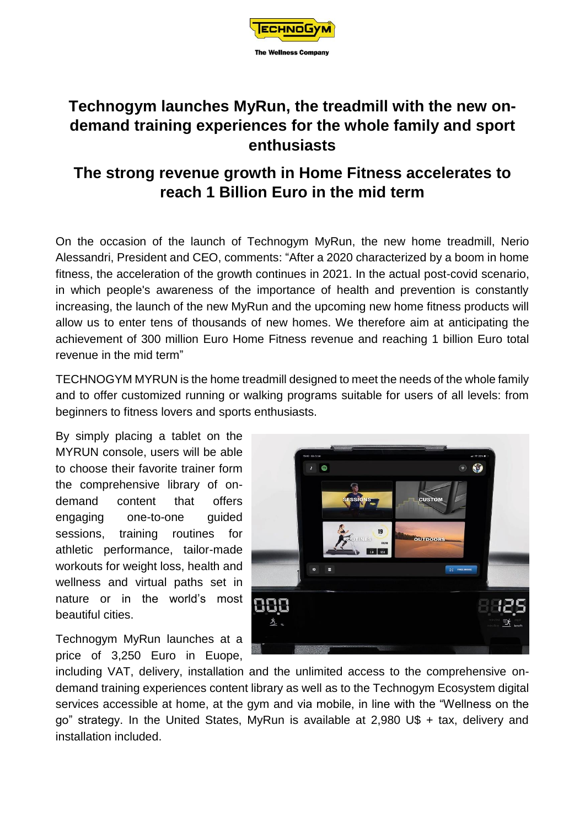

## **Technogym launches MyRun, the treadmill with the new ondemand training experiences for the whole family and sport enthusiasts**

## **The strong revenue growth in Home Fitness accelerates to reach 1 Billion Euro in the mid term**

On the occasion of the launch of Technogym MyRun, the new home treadmill, Nerio Alessandri, President and CEO, comments: "After a 2020 characterized by a boom in home fitness, the acceleration of the growth continues in 2021. In the actual post-covid scenario, in which people's awareness of the importance of health and prevention is constantly increasing, the launch of the new MyRun and the upcoming new home fitness products will allow us to enter tens of thousands of new homes. We therefore aim at anticipating the achievement of 300 million Euro Home Fitness revenue and reaching 1 billion Euro total revenue in the mid term"

TECHNOGYM MYRUN is the home treadmill designed to meet the needs of the whole family and to offer customized running or walking programs suitable for users of all levels: from beginners to fitness lovers and sports enthusiasts.

By simply placing a tablet on the MYRUN console, users will be able to choose their favorite trainer form the comprehensive library of ondemand content that offers engaging one-to-one guided sessions, training routines for athletic performance, tailor-made workouts for weight loss, health and wellness and virtual paths set in nature or in the world's most beautiful cities.

Technogym MyRun launches at a price of 3,250 Euro in Euope,



including VAT, delivery, installation and the unlimited access to the comprehensive ondemand training experiences content library as well as to the Technogym Ecosystem digital services accessible at home, at the gym and via mobile, in line with the "Wellness on the go" strategy. In the United States, MyRun is available at 2,980 U\$ + tax, delivery and installation included.